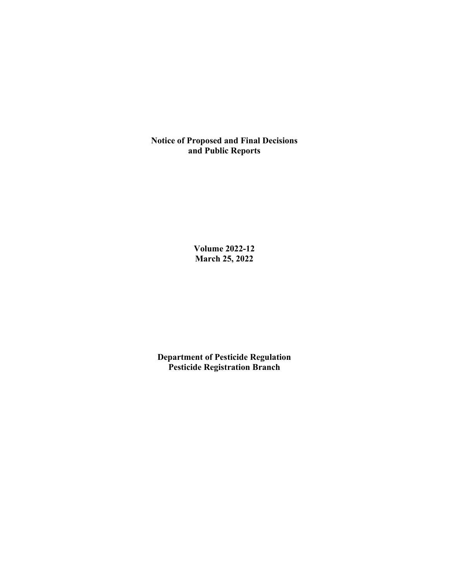**Notice of Proposed and Final Decisions and Public Reports**

> **Volume 2022-12 March 25, 2022**

**Department of Pesticide Regulation Pesticide Registration Branch**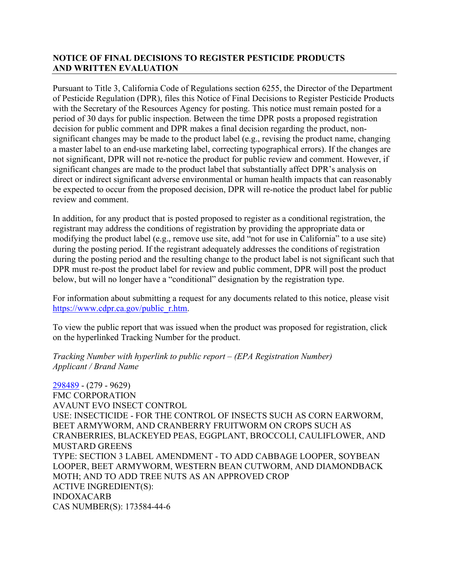# **NOTICE OF FINAL DECISIONS TO REGISTER PESTICIDE PRODUCTS AND WRITTEN EVALUATION**

Pursuant to Title 3, California Code of Regulations section 6255, the Director of the Department of Pesticide Regulation (DPR), files this Notice of Final Decisions to Register Pesticide Products with the Secretary of the Resources Agency for posting. This notice must remain posted for a period of 30 days for public inspection. Between the time DPR posts a proposed registration decision for public comment and DPR makes a final decision regarding the product, nonsignificant changes may be made to the product label (e.g., revising the product name, changing a master label to an end-use marketing label, correcting typographical errors). If the changes are not significant, DPR will not re-notice the product for public review and comment. However, if significant changes are made to the product label that substantially affect DPR's analysis on direct or indirect significant adverse environmental or human health impacts that can reasonably be expected to occur from the proposed decision, DPR will re-notice the product label for public review and comment.

In addition, for any product that is posted proposed to register as a conditional registration, the registrant may address the conditions of registration by providing the appropriate data or modifying the product label (e.g., remove use site, add "not for use in California" to a use site) during the posting period. If the registrant adequately addresses the conditions of registration during the posting period and the resulting change to the product label is not significant such that DPR must re-post the product label for review and public comment, DPR will post the product below, but will no longer have a "conditional" designation by the registration type.

For information about submitting a request for any documents related to this notice, please visit [https://www.cdpr.ca.gov/public\\_r.htm.](https://www.cdpr.ca.gov/public_r.htm)

To view the public report that was issued when the product was proposed for registration, click on the hyperlinked Tracking Number for the product.

*Tracking Number with hyperlink to public report – (EPA Registration Number) Applicant / Brand Name* 

[298489](https://www.cdpr.ca.gov/docs/registration/nod/public_reports/298489.pdf) - (279 - 9629) FMC CORPORATION AVAUNT EVO INSECT CONTROL USE: INSECTICIDE - FOR THE CONTROL OF INSECTS SUCH AS CORN EARWORM, BEET ARMYWORM, AND CRANBERRY FRUITWORM ON CROPS SUCH AS CRANBERRIES, BLACKEYED PEAS, EGGPLANT, BROCCOLI, CAULIFLOWER, AND MUSTARD GREENS TYPE: SECTION 3 LABEL AMENDMENT - TO ADD CABBAGE LOOPER, SOYBEAN LOOPER, BEET ARMYWORM, WESTERN BEAN CUTWORM, AND DIAMONDBACK MOTH; AND TO ADD TREE NUTS AS AN APPROVED CROP ACTIVE INGREDIENT(S): INDOXACARB CAS NUMBER(S): 173584-44-6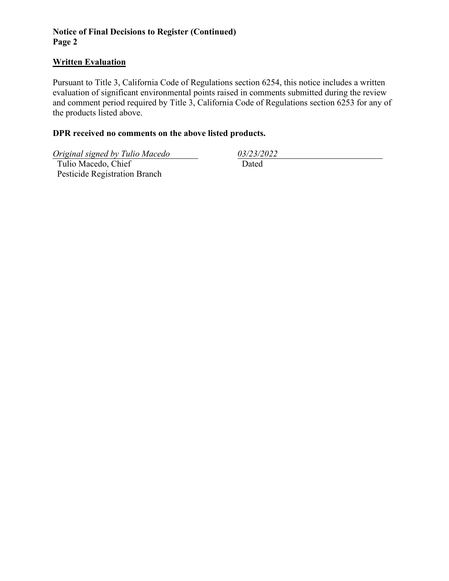# **Notice of Final Decisions to Register (Continued) Page 2**

### **Written Evaluation**

Pursuant to Title 3, California Code of Regulations section 6254, this notice includes a written evaluation of significant environmental points raised in comments submitted during the review and comment period required by Title 3, California Code of Regulations section 6253 for any of the products listed above.

### **DPR received no comments on the above listed products.**

*Original signed by Tulio Macedo 03/23/2022* 

 Tulio Macedo, Chief Pesticide Registration Branch

Dated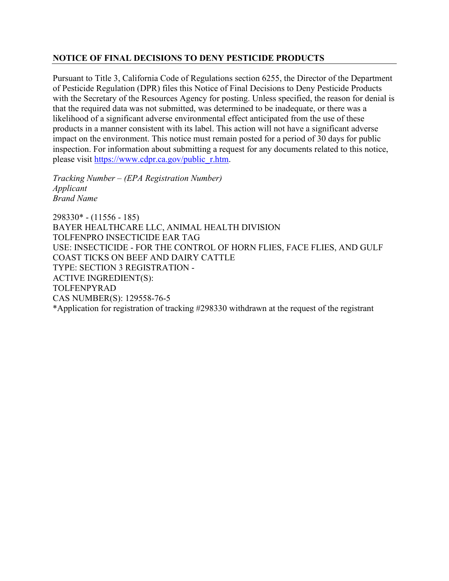# **NOTICE OF FINAL DECISIONS TO DENY PESTICIDE PRODUCTS**

Pursuant to Title 3, California Code of Regulations section 6255, the Director of the Department of Pesticide Regulation (DPR) files this Notice of Final Decisions to Deny Pesticide Products with the Secretary of the Resources Agency for posting. Unless specified, the reason for denial is that the required data was not submitted, was determined to be inadequate, or there was a likelihood of a significant adverse environmental effect anticipated from the use of these products in a manner consistent with its label. This action will not have a significant adverse impact on the environment. This notice must remain posted for a period of 30 days for public inspection. For information about submitting a request for any documents related to this notice, please visit [https://www.cdpr.ca.gov/public\\_r.htm.](https://www.cdpr.ca.gov/public_r.htm)

*Tracking Number – (EPA Registration Number) Applicant Brand Name* 

298330\* - (11556 - 185) BAYER HEALTHCARE LLC, ANIMAL HEALTH DIVISION TOLFENPRO INSECTICIDE EAR TAG USE: INSECTICIDE - FOR THE CONTROL OF HORN FLIES, FACE FLIES, AND GULF COAST TICKS ON BEEF AND DAIRY CATTLE TYPE: SECTION 3 REGISTRATION - ACTIVE INGREDIENT(S): TOLFENPYRAD CAS NUMBER(S): 129558-76-5 \*Application for registration of tracking #298330 withdrawn at the request of the registrant